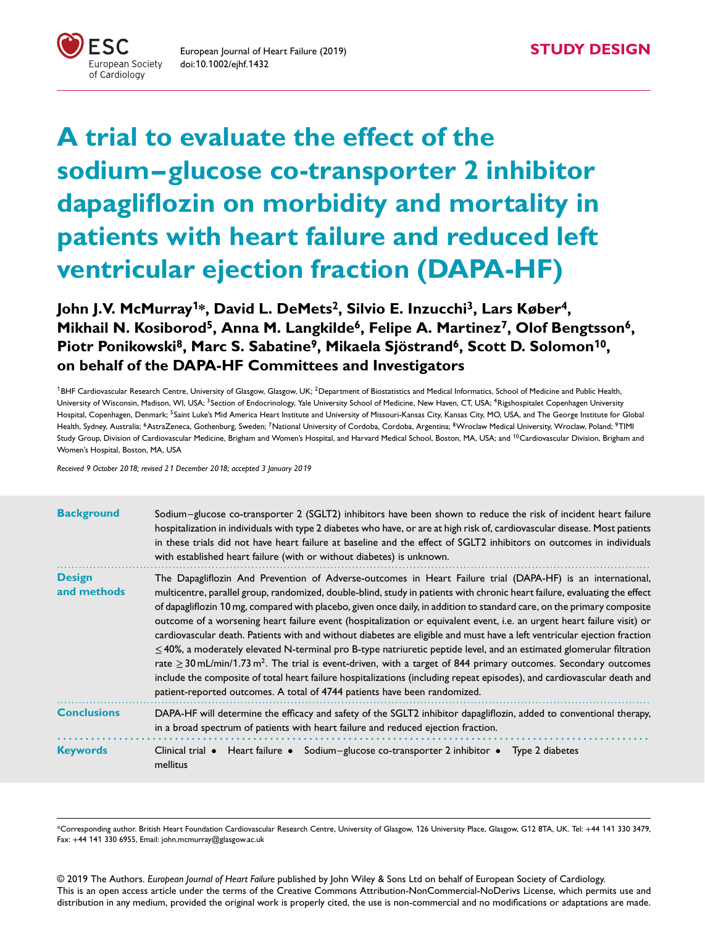

**A trial to evaluate the effect of the sodium–glucose co-transporter 2 inhibitor dapagliflozin on morbidity and mortality in patients with heart failure and reduced left ventricular ejection fraction (DAPA-HF)**

**John J.V. McMurray<sup>1</sup>\*, David L. DeMets2, Silvio E. Inzucchi3, Lars Køber4,** Mikhail N. Kosiborod<sup>5</sup>, Anna M. Langkilde<sup>6</sup>, Felipe A. Martinez<sup>7</sup>, Olof Bengtsson<sup>6</sup>, **Piotr Ponikowski8, Marc S. Sabatine9, Mikaela Sjöstrand6, Scott D. Solomon<sup>1</sup>0, on behalf of the DAPA-HF Committees and Investigators**

<sup>1</sup>BHF Cardiovascular Research Centre, University of Glasgow, Glasgow, UK; <sup>2</sup>Department of Biostatistics and Medical Informatics, School of Medicine and Public Health, University of Wisconsin, Madison, WI, USA; <sup>3</sup>Section of Endocrinology, Yale University School of Medicine, New Haven, CT, USA; <sup>4</sup>Rigshospitalet Copenhagen University Hospital, Copenhagen, Denmark; <sup>5</sup>Saint Luke's Mid America Heart Institute and University of Missouri-Kansas City, Kansas City, MO, USA, and The George Institute for Global Health, Sydney, Australia; <sup>6</sup>AstraZeneca, Gothenburg, Sweden; <sup>7</sup>National University of Cordoba, Cordoba, Argentina; <sup>8</sup>Wroclaw Medical University, Wroclaw, Poland; <sup>9</sup>TIMI Study Group, Division of Cardiovascular Medicine, Brigham and Women's Hospital, and Harvard Medical School, Boston, MA, USA; and <sup>10</sup> Cardiovascular Division, Brigham and Women's Hospital, Boston, MA, USA

*Received 9 October 20*1*8; revised 2*1 *December 20*1*8; accepted 3 January 20*1*9*

| <b>Background</b>            | Sodium-glucose co-transporter 2 (SGLT2) inhibitors have been shown to reduce the risk of incident heart failure<br>hospitalization in individuals with type 2 diabetes who have, or are at high risk of, cardiovascular disease. Most patients<br>in these trials did not have heart failure at baseline and the effect of SGLT2 inhibitors on outcomes in individuals<br>with established heart failure (with or without diabetes) is unknown.                                                                                                                                                                                                                                                                                                                                                                                                                                                                                                                                                                                                                                                     |
|------------------------------|-----------------------------------------------------------------------------------------------------------------------------------------------------------------------------------------------------------------------------------------------------------------------------------------------------------------------------------------------------------------------------------------------------------------------------------------------------------------------------------------------------------------------------------------------------------------------------------------------------------------------------------------------------------------------------------------------------------------------------------------------------------------------------------------------------------------------------------------------------------------------------------------------------------------------------------------------------------------------------------------------------------------------------------------------------------------------------------------------------|
| <b>Design</b><br>and methods | The Dapagliflozin And Prevention of Adverse-outcomes in Heart Failure trial (DAPA-HF) is an international,<br>multicentre, parallel group, randomized, double-blind, study in patients with chronic heart failure, evaluating the effect<br>of dapagliflozin 10 mg, compared with placebo, given once daily, in addition to standard care, on the primary composite<br>outcome of a worsening heart failure event (hospitalization or equivalent event, i.e. an urgent heart failure visit) or<br>cardiovascular death. Patients with and without diabetes are eligible and must have a left ventricular ejection fraction<br>$\leq$ 40%, a moderately elevated N-terminal pro B-type natriuretic peptide level, and an estimated glomerular filtration<br>rate $\geq$ 30 mL/min/1.73 m <sup>2</sup> . The trial is event-driven, with a target of 844 primary outcomes. Secondary outcomes<br>include the composite of total heart failure hospitalizations (including repeat episodes), and cardiovascular death and<br>patient-reported outcomes. A total of 4744 patients have been randomized. |
| <b>Conclusions</b>           | DAPA-HF will determine the efficacy and safety of the SGLT2 inhibitor dapagliflozin, added to conventional therapy,<br>in a broad spectrum of patients with heart failure and reduced ejection fraction.                                                                                                                                                                                                                                                                                                                                                                                                                                                                                                                                                                                                                                                                                                                                                                                                                                                                                            |
| <b>Keywords</b>              | Heart failure • Sodium-glucose co-transporter 2 inhibitor • Type 2 diabetes<br>Clinical trial $\bullet$<br>mellitus                                                                                                                                                                                                                                                                                                                                                                                                                                                                                                                                                                                                                                                                                                                                                                                                                                                                                                                                                                                 |

\*Corresponding author. British Heart Foundation Cardiovascular Research Centre, University of Glasgow, 126 University Place, Glasgow, G12 8TA, UK. Tel: +44 141 330 3479, Fax: +44 141 330 6955, Email: john.mcmurray@glasgow.ac.uk

© 2019 The Authors. *European Journal of Heart Failure* published by John Wiley & Sons Ltd on behalf of European Society of Cardiology. This is an open access article under the terms of the Creative Commons Attribution-NonCommercial-NoDerivs License, which permits use and distribution in any medium, provided the original work is properly cited, the use is non-commercial and no modifications or adaptations are made.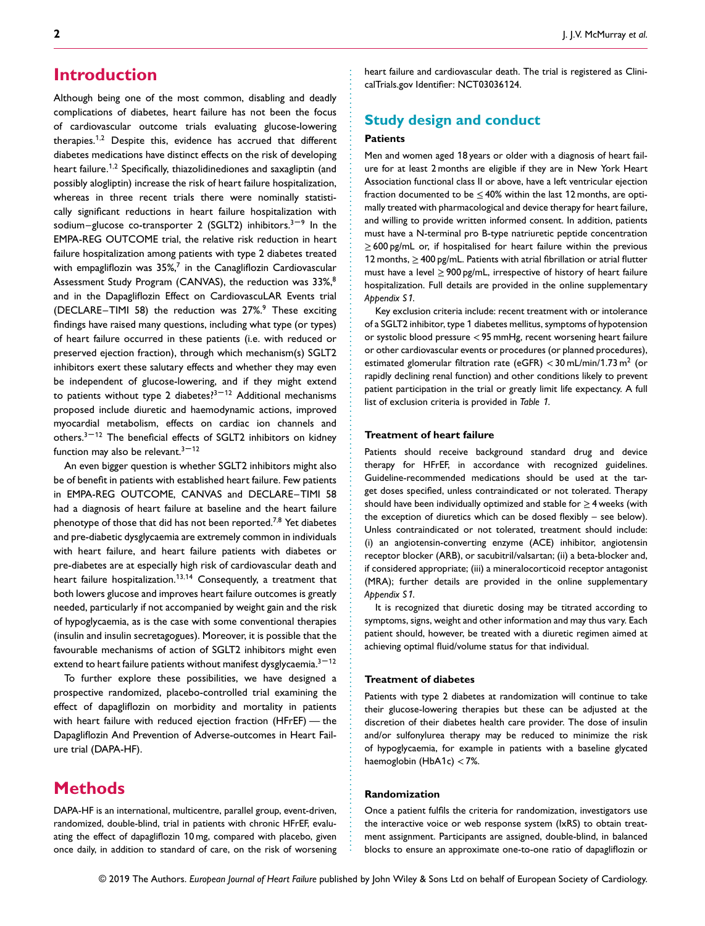# **Introduction**

Although being one of the most common, disabling and deadly complications of diabetes, heart failure has not been the focus of cardiovascular outcome trials evaluating glucose-lowering therapies.<sup>1</sup>*,*<sup>2</sup> Despite this, evidence has accrued that different diabetes medications have distinct effects on the risk of developing heart failure.<sup>1</sup>*,*<sup>2</sup> Specifically, thiazolidinediones and saxagliptin (and possibly alogliptin) increase the risk of heart failure hospitalization, whereas in three recent trials there were nominally statistically significant reductions in heart failure hospitalization with sodium–glucose co-transporter 2 (SGLT2) inhibitors.<sup>3-9</sup> In the EMPA-REG OUTCOME trial, the relative risk reduction in heart failure hospitalization among patients with type 2 diabetes treated with empagliflozin was  $35\%$ ,<sup>7</sup> in the Canagliflozin Cardiovascular Assessment Study Program (CANVAS), the reduction was 33%,<sup>8</sup> and in the Dapagliflozin Effect on CardiovascuLAR Events trial (DECLARE–TIMI 58) the reduction was  $27\%$ <sup>9</sup> These exciting findings have raised many questions, including what type (or types) of heart failure occurred in these patients (i.e. with reduced or preserved ejection fraction), through which mechanism(s) SGLT2 inhibitors exert these salutary effects and whether they may even be independent of glucose-lowering, and if they might extend to patients without type 2 diabetes? $3-12$  Additional mechanisms proposed include diuretic and haemodynamic actions, improved myocardial metabolism, effects on cardiac ion channels and others. $3 - 12$  The beneficial effects of SGLT2 inhibitors on kidney function may also be relevant. $3 - 12$ 

An even bigger question is whether SGLT2 inhibitors might also be of benefit in patients with established heart failure. Few patients in EMPA-REG OUTCOME, CANVAS and DECLARE–TIMI 58 had a diagnosis of heart failure at baseline and the heart failure phenotype of those that did has not been reported.7*,*<sup>8</sup> Yet diabetes and pre-diabetic dysglycaemia are extremely common in individuals with heart failure, and heart failure patients with diabetes or pre-diabetes are at especially high risk of cardiovascular death and heart failure hospitalization.<sup>13,14</sup> Consequently, a treatment that both lowers glucose and improves heart failure outcomes is greatly needed, particularly if not accompanied by weight gain and the risk of hypoglycaemia, as is the case with some conventional therapies (insulin and insulin secretagogues). Moreover, it is possible that the favourable mechanisms of action of SGLT2 inhibitors might even extend to heart failure patients without manifest dysglycaemia. $3-12$ 

To further explore these possibilities, we have designed a prospective randomized, placebo-controlled trial examining the effect of dapagliflozin on morbidity and mortality in patients with heart failure with reduced ejection fraction (HFrEF) — the Dapagliflozin And Prevention of Adverse-outcomes in Heart Failure trial (DAPA-HF).

# **Methods**

DAPA-HF is an international, multicentre, parallel group, event-driven, randomized, double-blind, trial in patients with chronic HFrEF, evaluating the effect of dapagliflozin 10 mg, compared with placebo, given once daily, in addition to standard of care, on the risk of worsening heart failure and cardiovascular death. The trial is registered as ClinicalTrials.gov Identifier: NCT03036124.

## **Study design and conduct**

### **Patients**

Men and women aged 18 years or older with a diagnosis of heart failure for at least 2 months are eligible if they are in New York Heart Association functional class II or above, have a left ventricular ejection fraction documented to be  $\leq$  40% within the last 12 months, are optimally treated with pharmacological and device therapy for heart failure, and willing to provide written informed consent. In addition, patients must have a N-terminal pro B-type natriuretic peptide concentration ≥ 600 pg/mL or, if hospitalised for heart failure within the previous 12 months, ≥400 pg/mL. Patients with atrial fibrillation or atrial flutter must have a level  $\geq$  900 pg/mL, irrespective of history of heart failure hospitalization. Full details are provided in the online supplementary *Appendix S*1.

Key exclusion criteria include: recent treatment with or intolerance of a SGLT2 inhibitor, type 1 diabetes mellitus, symptoms of hypotension or systolic blood pressure *<*95 mmHg, recent worsening heart failure or other cardiovascular events or procedures (or planned procedures), estimated glomerular filtration rate (eGFR) *<*30 mL/min/1.73 m<sup>2</sup> (or rapidly declining renal function) and other conditions likely to prevent patient participation in the trial or greatly limit life expectancy. A full list of exclusion criteria is provided in *Table* 1.

### **Treatment of heart failure**

............................................................... ................................................................ .........................................

Patients should receive background standard drug and device therapy for HFrEF, in accordance with recognized guidelines. Guideline-recommended medications should be used at the target doses specified, unless contraindicated or not tolerated. Therapy should have been individually optimized and stable for  $\geq$  4 weeks (with the exception of diuretics which can be dosed flexibly – see below). Unless contraindicated or not tolerated, treatment should include: (i) an angiotensin-converting enzyme (ACE) inhibitor, angiotensin receptor blocker (ARB), or sacubitril/valsartan; (ii) a beta-blocker and, if considered appropriate; (iii) a mineralocorticoid receptor antagonist (MRA); further details are provided in the online supplementary *Appendix S*1.

It is recognized that diuretic dosing may be titrated according to symptoms, signs, weight and other information and may thus vary. Each patient should, however, be treated with a diuretic regimen aimed at achieving optimal fluid/volume status for that individual.

#### **Treatment of diabetes**

Patients with type 2 diabetes at randomization will continue to take their glucose-lowering therapies but these can be adjusted at the discretion of their diabetes health care provider. The dose of insulin and/or sulfonylurea therapy may be reduced to minimize the risk of hypoglycaemia, for example in patients with a baseline glycated haemoglobin (HbA1c) *<*7%.

#### **Randomization**

Once a patient fulfils the criteria for randomization, investigators use the interactive voice or web response system (IxRS) to obtain treatment assignment. Participants are assigned, double-blind, in balanced blocks to ensure an approximate one-to-one ratio of dapagliflozin or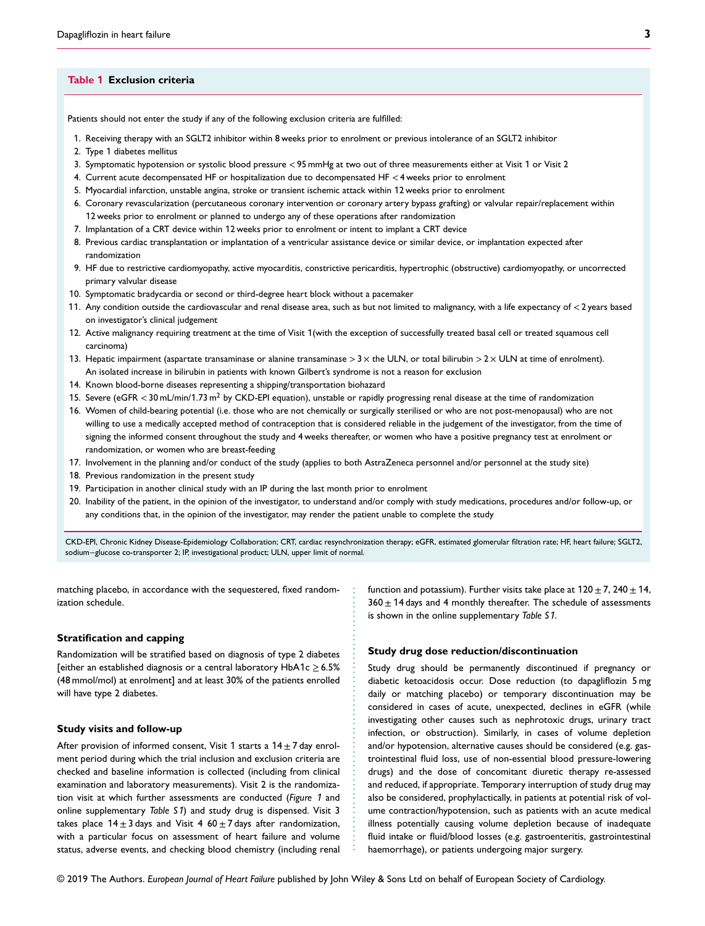#### **Table 1 Exclusion criteria**

Patients should not enter the study if any of the following exclusion criteria are fulfilled:

- 1. Receiving therapy with an SGLT2 inhibitor within 8 weeks prior to enrolment or previous intolerance of an SGLT2 inhibitor
- 2. Type 1 diabetes mellitus
- 3. Symptomatic hypotension or systolic blood pressure *<*95 mmHg at two out of three measurements either at Visit 1 or Visit 2
- 4. Current acute decompensated HF or hospitalization due to decompensated HF *<*4 weeks prior to enrolment
- 5. Myocardial infarction, unstable angina, stroke or transient ischemic attack within 12 weeks prior to enrolment
- 6. Coronary revascularization (percutaneous coronary intervention or coronary artery bypass grafting) or valvular repair/replacement within 12 weeks prior to enrolment or planned to undergo any of these operations after randomization
- 7. Implantation of a CRT device within 12 weeks prior to enrolment or intent to implant a CRT device
- 8. Previous cardiac transplantation or implantation of a ventricular assistance device or similar device, or implantation expected after randomization
- 9. HF due to restrictive cardiomyopathy, active myocarditis, constrictive pericarditis, hypertrophic (obstructive) cardiomyopathy, or uncorrected primary valvular disease
- 10. Symptomatic bradycardia or second or third-degree heart block without a pacemaker
- 11. Any condition outside the cardiovascular and renal disease area, such as but not limited to malignancy, with a life expectancy of *<*2 years based on investigator's clinical judgement
- 12. Active malignancy requiring treatment at the time of Visit 1(with the exception of successfully treated basal cell or treated squamous cell carcinoma)
- 13. Hepatic impairment (aspartate transaminase or alanine transaminase *>*3 × the ULN, or total bilirubin *>*2 × ULN at time of enrolment). An isolated increase in bilirubin in patients with known Gilbert's syndrome is not a reason for exclusion
- 14. Known blood-borne diseases representing a shipping/transportation biohazard
- 15. Severe (eGFR *<*30 mL/min/1.73 m2 by CKD-EPI equation), unstable or rapidly progressing renal disease at the time of randomization
- 16. Women of child-bearing potential (i.e. those who are not chemically or surgically sterilised or who are not post-menopausal) who are not willing to use a medically accepted method of contraception that is considered reliable in the judgement of the investigator, from the time of signing the informed consent throughout the study and 4 weeks thereafter, or women who have a positive pregnancy test at enrolment or randomization, or women who are breast-feeding
- 17. Involvement in the planning and/or conduct of the study (applies to both AstraZeneca personnel and/or personnel at the study site)
- 18. Previous randomization in the present study
- 19. Participation in another clinical study with an IP during the last month prior to enrolment
- 20. Inability of the patient, in the opinion of the investigator, to understand and/or comply with study medications, procedures and/or follow-up, or any conditions that, in the opinion of the investigator, may render the patient unable to complete the study

CKD-EPI, Chronic Kidney Disease-Epidemiology Collaboration; CRT, cardiac resynchronization therapy; eGFR, estimated glomerular filtration rate; HF, heart failure; SGLT2, sodium–glucose co-transporter 2; IP, investigational product; ULN, upper limit of normal.

.........................................................

matching placebo, in accordance with the sequestered, fixed randomization schedule.

#### **Stratification and capping**

Randomization will be stratified based on diagnosis of type 2 diabetes [either an established diagnosis or a central laboratory HbA1c  $\geq$  6.5% (48 mmol/mol) at enrolment] and at least 30% of the patients enrolled will have type 2 diabetes.

#### **Study visits and follow-up**

After provision of informed consent, Visit 1 starts a  $14 \pm 7$  day enrolment period during which the trial inclusion and exclusion criteria are checked and baseline information is collected (including from clinical examination and laboratory measurements). Visit 2 is the randomization visit at which further assessments are conducted (*Figure* 1 and online supplementary *Table S*1) and study drug is dispensed. Visit 3 takes place  $14 \pm 3$  days and Visit 4 60  $\pm$  7 days after randomization, with a particular focus on assessment of heart failure and volume status, adverse events, and checking blood chemistry (including renal

function and potassium). Further visits take place at  $120 \pm 7$ ,  $240 \pm 14$ ,  $360 \pm 14$  days and 4 monthly thereafter. The schedule of assessments is shown in the online supplementary *Table S*1.

### **Study drug dose reduction/discontinuation**

Study drug should be permanently discontinued if pregnancy or diabetic ketoacidosis occur. Dose reduction (to dapagliflozin 5 mg daily or matching placebo) or temporary discontinuation may be considered in cases of acute, unexpected, declines in eGFR (while investigating other causes such as nephrotoxic drugs, urinary tract infection, or obstruction). Similarly, in cases of volume depletion and/or hypotension, alternative causes should be considered (e.g. gastrointestinal fluid loss, use of non-essential blood pressure-lowering drugs) and the dose of concomitant diuretic therapy re-assessed and reduced, if appropriate. Temporary interruption of study drug may also be considered, prophylactically, in patients at potential risk of volume contraction/hypotension, such as patients with an acute medical illness potentially causing volume depletion because of inadequate fluid intake or fluid/blood losses (e.g. gastroenteritis, gastrointestinal haemorrhage), or patients undergoing major surgery.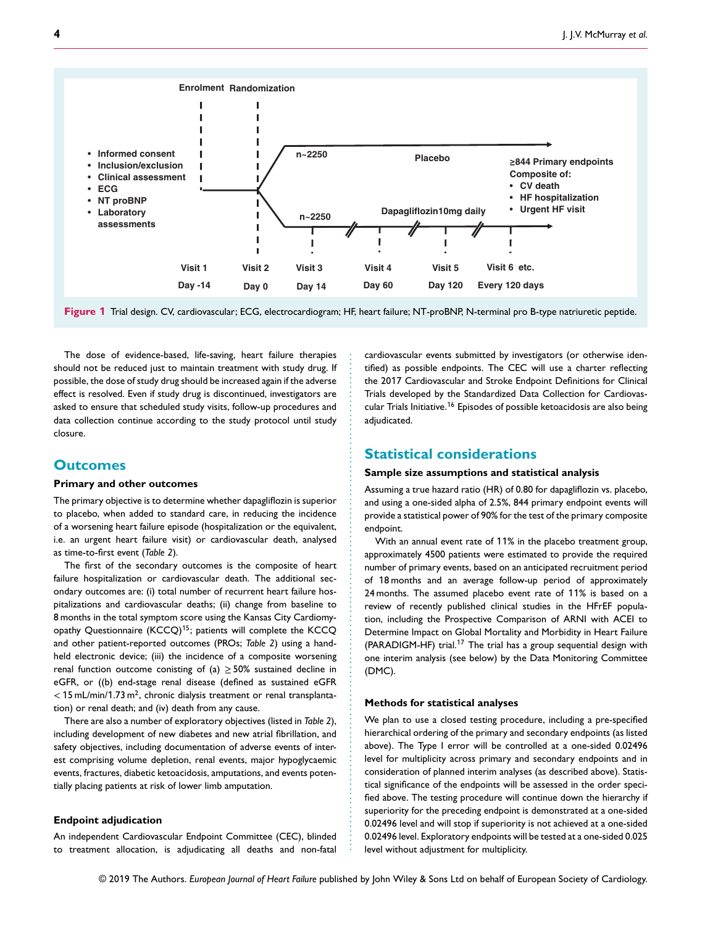

**Figure 1** Trial design. CV, cardiovascular; ECG, electrocardiogram; HF, heart failure; NT-proBNP, N-terminal pro B-type natriuretic peptide.

...................................................... .....................................................

The dose of evidence-based, life-saving, heart failure therapies should not be reduced just to maintain treatment with study drug. If possible, the dose of study drug should be increased again if the adverse effect is resolved. Even if study drug is discontinued, investigators are asked to ensure that scheduled study visits, follow-up procedures and data collection continue according to the study protocol until study closure.

## **Outcomes**

### **Primary and other outcomes**

The primary objective is to determine whether dapagliflozin is superior to placebo, when added to standard care, in reducing the incidence of a worsening heart failure episode (hospitalization or the equivalent, i.e. an urgent heart failure visit) or cardiovascular death, analysed as time-to-first event (*Table 2*).

The first of the secondary outcomes is the composite of heart failure hospitalization or cardiovascular death. The additional secondary outcomes are: (i) total number of recurrent heart failure hospitalizations and cardiovascular deaths; (ii) change from baseline to 8 months in the total symptom score using the Kansas City Cardiomyopathy Questionnaire (KCCQ)<sup>15</sup>; patients will complete the KCCQ and other patient-reported outcomes (PROs; *Table 2*) using a handheld electronic device; (iii) the incidence of a composite worsening renal function outcome conisting of (a)  $\geq$  50% sustained decline in eGFR, or ((b) end-stage renal disease (defined as sustained eGFR < 15 mL/min/1.73 m<sup>2</sup>, chronic dialysis treatment or renal transplantation) or renal death; and (iv) death from any cause.

There are also a number of exploratory objectives (listed in *Table 2*), including development of new diabetes and new atrial fibrillation, and safety objectives, including documentation of adverse events of interest comprising volume depletion, renal events, major hypoglycaemic events, fractures, diabetic ketoacidosis, amputations, and events potentially placing patients at risk of lower limb amputation.

#### **Endpoint adjudication**

An independent Cardiovascular Endpoint Committee (CEC), blinded to treatment allocation, is adjudicating all deaths and non-fatal cardiovascular events submitted by investigators (or otherwise identified) as possible endpoints. The CEC will use a charter reflecting the 2017 Cardiovascular and Stroke Endpoint Definitions for Clinical Trials developed by the Standardized Data Collection for Cardiovascular Trials Initiative.<sup>16</sup> Episodes of possible ketoacidosis are also being adjudicated.

## **Statistical considerations**

#### **Sample size assumptions and statistical analysis**

Assuming a true hazard ratio (HR) of 0.80 for dapagliflozin vs. placebo, and using a one-sided alpha of 2.5%, 844 primary endpoint events will provide a statistical power of 90% for the test of the primary composite endpoint.

With an annual event rate of 11% in the placebo treatment group, approximately 4500 patients were estimated to provide the required number of primary events, based on an anticipated recruitment period of 18 months and an average follow-up period of approximately 24 months. The assumed placebo event rate of 11% is based on a review of recently published clinical studies in the HFrEF population, including the Prospective Comparison of ARNI with ACEI to Determine Impact on Global Mortality and Morbidity in Heart Failure (PARADIGM-HF) trial.<sup>17</sup> The trial has a group sequential design with one interim analysis (see below) by the Data Monitoring Committee (DMC).

#### **Methods for statistical analyses**

We plan to use a closed testing procedure, including a pre-specified hierarchical ordering of the primary and secondary endpoints (as listed above). The Type I error will be controlled at a one-sided 0.02496 level for multiplicity across primary and secondary endpoints and in consideration of planned interim analyses (as described above). Statistical significance of the endpoints will be assessed in the order specified above. The testing procedure will continue down the hierarchy if superiority for the preceding endpoint is demonstrated at a one-sided 0.02496 level and will stop if superiority is not achieved at a one-sided 0.02496 level. Exploratory endpoints will be tested at a one-sided 0.025 level without adjustment for multiplicity.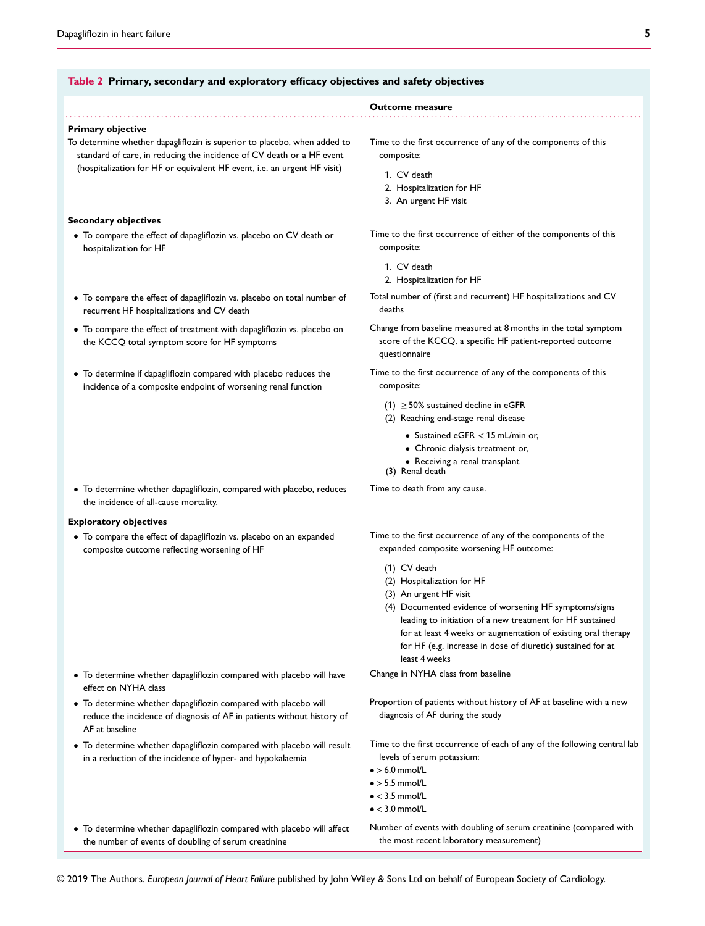#### **Table 2 Primary, secondary and exploratory efficacy objectives and safety objectives**

#### **Primary objective**

To determine whether dapagliflozin is superior to placebo, when added to standard of care, in reducing the incidence of CV death or a HF event (hospitalization for HF or equivalent HF event, i.e. an urgent HF visit)

### **Secondary objectives**

- To compare the effect of dapagliflozin vs. placebo on CV death or hospitalization for HF
- To compare the effect of dapagliflozin vs. placebo on total number of recurrent HF hospitalizations and CV death
- To compare the effect of treatment with dapagliflozin vs. placebo on the KCCQ total symptom score for HF symptoms
- To determine if dapagliflozin compared with placebo reduces the incidence of a composite endpoint of worsening renal function
- To determine whether dapagliflozin, compared with placebo, reduces the incidence of all-cause mortality.

#### **Exploratory objectives**

• To compare the effect of dapagliflozin vs. placebo on an expanded composite outcome reflecting worsening of HF

- To determine whether dapagliflozin compared with placebo will have effect on NYHA class
- To determine whether dapagliflozin compared with placebo will reduce the incidence of diagnosis of AF in patients without history of AF at baseline
- To determine whether dapagliflozin compared with placebo will result in a reduction of the incidence of hyper- and hypokalaemia
- To determine whether dapagliflozin compared with placebo will affect the number of events of doubling of serum creatinine

### Time to the first occurrence of any of the components of this composite:

1. CV death

**Outcome measure** ................................................................ ............................................................... ............

- 2. Hospitalization for HF
- 3. An urgent HF visit
- Time to the first occurrence of either of the components of this composite:
	- 1. CV death
	- 2. Hospitalization for HF
- Total number of (first and recurrent) HF hospitalizations and CV deaths
- Change from baseline measured at 8 months in the total symptom score of the KCCQ, a specific HF patient-reported outcome questionnaire
- Time to the first occurrence of any of the components of this composite:
	- (1)  $\geq$  50% sustained decline in eGFR
	- (2) Reaching end-stage renal disease
		- Sustained eGFR *<*15 mL/min or,
		- Chronic dialysis treatment or,
		- Receiving a renal transplant
	- (3) Renal death

Time to death from any cause.

Time to the first occurrence of any of the components of the expanded composite worsening HF outcome:

- (1) CV death
- (2) Hospitalization for HF
- (3) An urgent HF visit
- (4) Documented evidence of worsening HF symptoms/signs leading to initiation of a new treatment for HF sustained for at least 4 weeks or augmentation of existing oral therapy for HF (e.g. increase in dose of diuretic) sustained for at least 4 weeks

Change in NYHA class from baseline

- Proportion of patients without history of AF at baseline with a new diagnosis of AF during the study
- Time to the first occurrence of each of any of the following central lab levels of serum potassium:
- •*>*6.0 mmol/L
- •*>*5.5 mmol/L
- •*<*3.5 mmol/L
- •*<*3.0 mmol/L
- Number of events with doubling of serum creatinine (compared with the most recent laboratory measurement)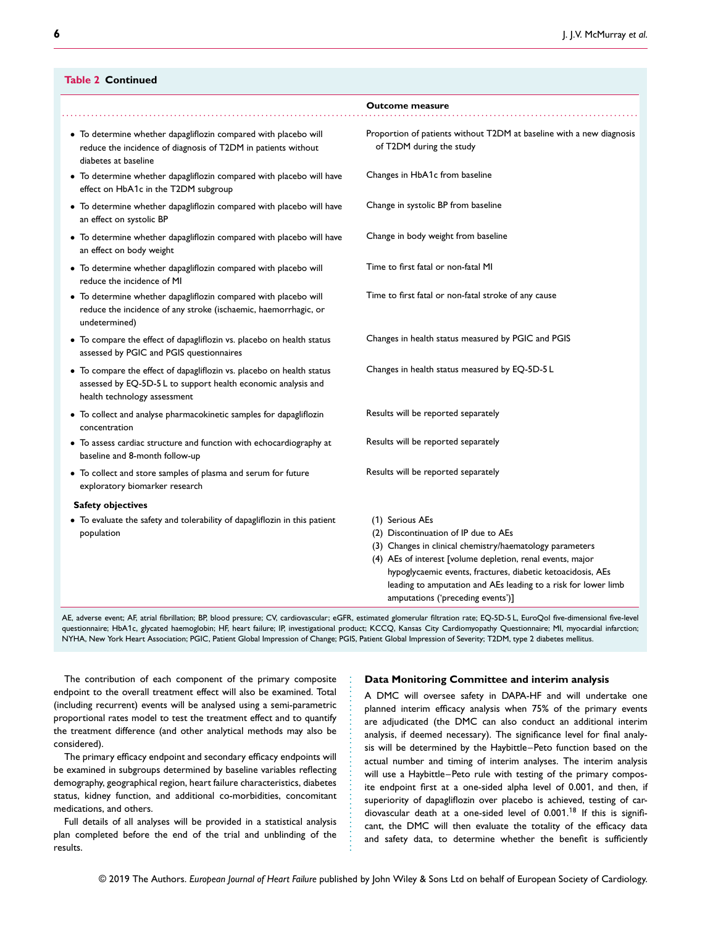### **Table 2 Continued**

|                                                                                                                                                                        | <b>Outcome measure</b>                                                                                                                                                                                                                                                                                             |
|------------------------------------------------------------------------------------------------------------------------------------------------------------------------|--------------------------------------------------------------------------------------------------------------------------------------------------------------------------------------------------------------------------------------------------------------------------------------------------------------------|
| • To determine whether dapagliflozin compared with placebo will<br>reduce the incidence of diagnosis of T2DM in patients without<br>diabetes at baseline               | Proportion of patients without T2DM at baseline with a new diagnosis<br>of T2DM during the study                                                                                                                                                                                                                   |
| • To determine whether dapagliflozin compared with placebo will have<br>effect on HbA1c in the T2DM subgroup                                                           | Changes in HbA1c from baseline                                                                                                                                                                                                                                                                                     |
| • To determine whether dapagliflozin compared with placebo will have<br>an effect on systolic BP                                                                       | Change in systolic BP from baseline                                                                                                                                                                                                                                                                                |
| • To determine whether dapagliflozin compared with placebo will have<br>an effect on body weight                                                                       | Change in body weight from baseline                                                                                                                                                                                                                                                                                |
| • To determine whether dapagliflozin compared with placebo will<br>reduce the incidence of MI                                                                          | Time to first fatal or non-fatal MI                                                                                                                                                                                                                                                                                |
| • To determine whether dapagliflozin compared with placebo will<br>reduce the incidence of any stroke (ischaemic, haemorrhagic, or<br>undetermined)                    | Time to first fatal or non-fatal stroke of any cause                                                                                                                                                                                                                                                               |
| • To compare the effect of dapagliflozin vs. placebo on health status<br>assessed by PGIC and PGIS questionnaires                                                      | Changes in health status measured by PGIC and PGIS                                                                                                                                                                                                                                                                 |
| • To compare the effect of dapagliflozin vs. placebo on health status<br>assessed by EQ-5D-5 L to support health economic analysis and<br>health technology assessment | Changes in health status measured by EQ-5D-5L                                                                                                                                                                                                                                                                      |
| • To collect and analyse pharmacokinetic samples for dapagliflozin<br>concentration                                                                                    | Results will be reported separately                                                                                                                                                                                                                                                                                |
| • To assess cardiac structure and function with echocardiography at<br>baseline and 8-month follow-up                                                                  | Results will be reported separately                                                                                                                                                                                                                                                                                |
| • To collect and store samples of plasma and serum for future<br>exploratory biomarker research                                                                        | Results will be reported separately                                                                                                                                                                                                                                                                                |
| <b>Safety objectives</b>                                                                                                                                               |                                                                                                                                                                                                                                                                                                                    |
| • To evaluate the safety and tolerability of dapagliflozin in this patient<br>population                                                                               | (1) Serious AEs<br>(2) Discontinuation of IP due to AEs<br>(3) Changes in clinical chemistry/haematology parameters<br>(4) AEs of interest [volume depletion, renal events, major<br>hypoglycaemic events, fractures, diabetic ketoacidosis, AEs<br>leading to amputation and AEs leading to a risk for lower limb |

AE, adverse event; AF, atrial fibrillation; BP, blood pressure; CV, cardiovascular; eGFR, estimated glomerular filtration rate; EQ-5D-5 L, EuroQol five-dimensional five-level questionnaire; HbA1c, glycated haemoglobin; HF, heart failure; IP, investigational product; KCCQ, Kansas City Cardiomyopathy Questionnaire; MI, myocardial infarction; NYHA, New York Heart Association; PGIC, Patient Global Impression of Change; PGIS, Patient Global Impression of Severity; T2DM, type 2 diabetes mellitus.

......................................

The contribution of each component of the primary composite endpoint to the overall treatment effect will also be examined. Total (including recurrent) events will be analysed using a semi-parametric proportional rates model to test the treatment effect and to quantify the treatment difference (and other analytical methods may also be considered).

The primary efficacy endpoint and secondary efficacy endpoints will be examined in subgroups determined by baseline variables reflecting demography, geographical region, heart failure characteristics, diabetes status, kidney function, and additional co-morbidities, concomitant medications, and others.

Full details of all analyses will be provided in a statistical analysis plan completed before the end of the trial and unblinding of the results.

#### **Data Monitoring Committee and interim analysis**

amputations ('preceding events')]

A DMC will oversee safety in DAPA-HF and will undertake one planned interim efficacy analysis when 75% of the primary events are adjudicated (the DMC can also conduct an additional interim analysis, if deemed necessary). The significance level for final analysis will be determined by the Haybittle–Peto function based on the actual number and timing of interim analyses. The interim analysis will use a Haybittle–Peto rule with testing of the primary composite endpoint first at a one-sided alpha level of 0.001, and then, if superiority of dapagliflozin over placebo is achieved, testing of cardiovascular death at a one-sided level of 0.001. <sup>1</sup><sup>8</sup> If this is significant, the DMC will then evaluate the totality of the efficacy data and safety data, to determine whether the benefit is sufficiently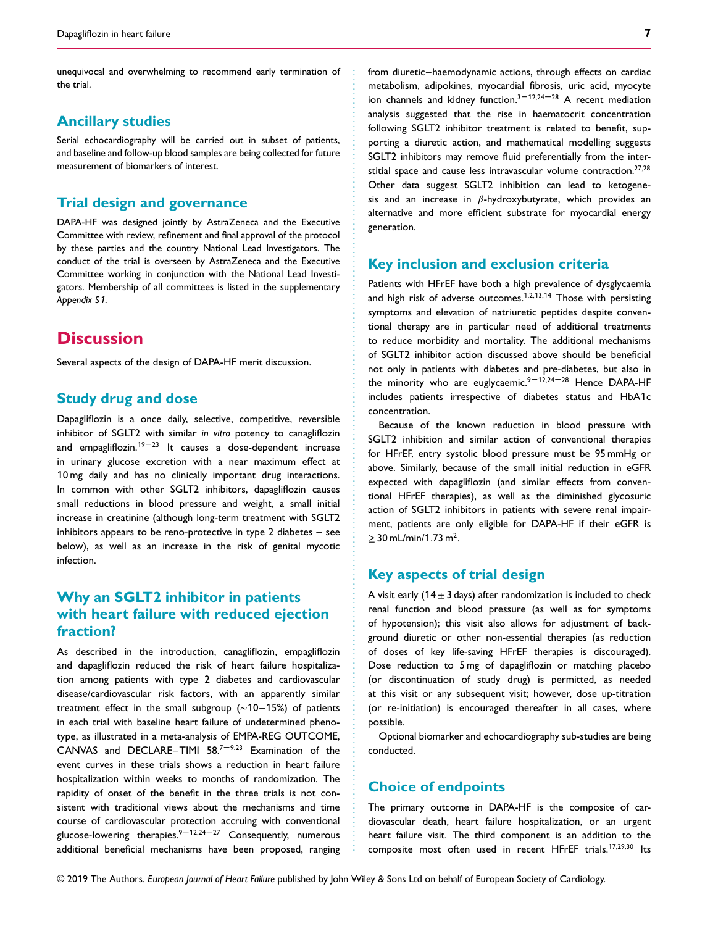unequivocal and overwhelming to recommend early termination of the trial.

## **Ancillary studies**

Serial echocardiography will be carried out in subset of patients, and baseline and follow-up blood samples are being collected for future measurement of biomarkers of interest.

## **Trial design and governance**

DAPA-HF was designed jointly by AstraZeneca and the Executive Committee with review, refinement and final approval of the protocol by these parties and the country National Lead Investigators. The conduct of the trial is overseen by AstraZeneca and the Executive Committee working in conjunction with the National Lead Investigators. Membership of all committees is listed in the supplementary *Appendix S*1.

# **Discussion**

Several aspects of the design of DAPA-HF merit discussion.

## **Study drug and dose**

Dapagliflozin is a once daily, selective, competitive, reversible inhibitor of SGLT2 with similar *in vitro* potency to canagliflozin and empagliflozin.<sup>19-23</sup> It causes a dose-dependent increase in urinary glucose excretion with a near maximum effect at 10 mg daily and has no clinically important drug interactions. In common with other SGLT2 inhibitors, dapagliflozin causes small reductions in blood pressure and weight, a small initial increase in creatinine (although long-term treatment with SGLT2 inhibitors appears to be reno-protective in type 2 diabetes – see below), as well as an increase in the risk of genital mycotic infection.

# **Why an SGLT2 inhibitor in patients with heart failure with reduced ejection fraction?**

As described in the introduction, canagliflozin, empagliflozin and dapagliflozin reduced the risk of heart failure hospitalization among patients with type 2 diabetes and cardiovascular disease/cardiovascular risk factors, with an apparently similar treatment effect in the small subgroup (∼10–15%) of patients in each trial with baseline heart failure of undetermined phenotype, as illustrated in a meta-analysis of EMPA-REG OUTCOME, CANVAS and DECLARE–TIMI 58.<sup>7-9,23</sup> Examination of the event curves in these trials shows a reduction in heart failure hospitalization within weeks to months of randomization. The rapidity of onset of the benefit in the three trials is not consistent with traditional views about the mechanisms and time course of cardiovascular protection accruing with conventional glucose-lowering therapies.<sup>9-12,24-27</sup> Consequently, numerous additional beneficial mechanisms have been proposed, ranging from diuretic–haemodynamic actions, through effects on cardiac metabolism, adipokines, myocardial fibrosis, uric acid, myocyte ion channels and kidney function.<sup>3-12,24-28</sup> A recent mediation analysis suggested that the rise in haematocrit concentration following SGLT2 inhibitor treatment is related to benefit, supporting a diuretic action, and mathematical modelling suggests SGLT2 inhibitors may remove fluid preferentially from the interstitial space and cause less intravascular volume contraction.27*,*<sup>28</sup> Other data suggest SGLT2 inhibition can lead to ketogenesis and an increase in  $\beta$ -hydroxybutyrate, which provides an alternative and more efficient substrate for myocardial energy generation.

## **Key inclusion and exclusion criteria**

Patients with HFrEF have both a high prevalence of dysglycaemia and high risk of adverse outcomes.<sup>1</sup>*,*2*,*13*,*1<sup>4</sup> Those with persisting symptoms and elevation of natriuretic peptides despite conventional therapy are in particular need of additional treatments to reduce morbidity and mortality. The additional mechanisms of SGLT2 inhibitor action discussed above should be beneficial not only in patients with diabetes and pre-diabetes, but also in the minority who are euglycaemic.<sup>9-12,24-28</sup> Hence DAPA-HF includes patients irrespective of diabetes status and HbA1c concentration.

Because of the known reduction in blood pressure with SGLT2 inhibition and similar action of conventional therapies for HFrEF, entry systolic blood pressure must be 95 mmHg or above. Similarly, because of the small initial reduction in eGFR expected with dapagliflozin (and similar effects from conventional HFrEF therapies), as well as the diminished glycosuric action of SGLT2 inhibitors in patients with severe renal impairment, patients are only eligible for DAPA-HF if their eGFR is  $\geq$  30 mL/min/1.73 m<sup>2</sup>.

## **Key aspects of trial design**

A visit early ( $14±3$  days) after randomization is included to check renal function and blood pressure (as well as for symptoms of hypotension); this visit also allows for adjustment of background diuretic or other non-essential therapies (as reduction of doses of key life-saving HFrEF therapies is discouraged). Dose reduction to 5 mg of dapagliflozin or matching placebo (or discontinuation of study drug) is permitted, as needed at this visit or any subsequent visit; however, dose up-titration (or re-initiation) is encouraged thereafter in all cases, where possible.

Optional biomarker and echocardiography sub-studies are being conducted.

## **Choice of endpoints**

The primary outcome in DAPA-HF is the composite of cardiovascular death, heart failure hospitalization, or an urgent heart failure visit. The third component is an addition to the composite most often used in recent HFrEF trials.<sup>1</sup>7*,*29*,*<sup>30</sup> Its

............................................................... ................................................................ .........................................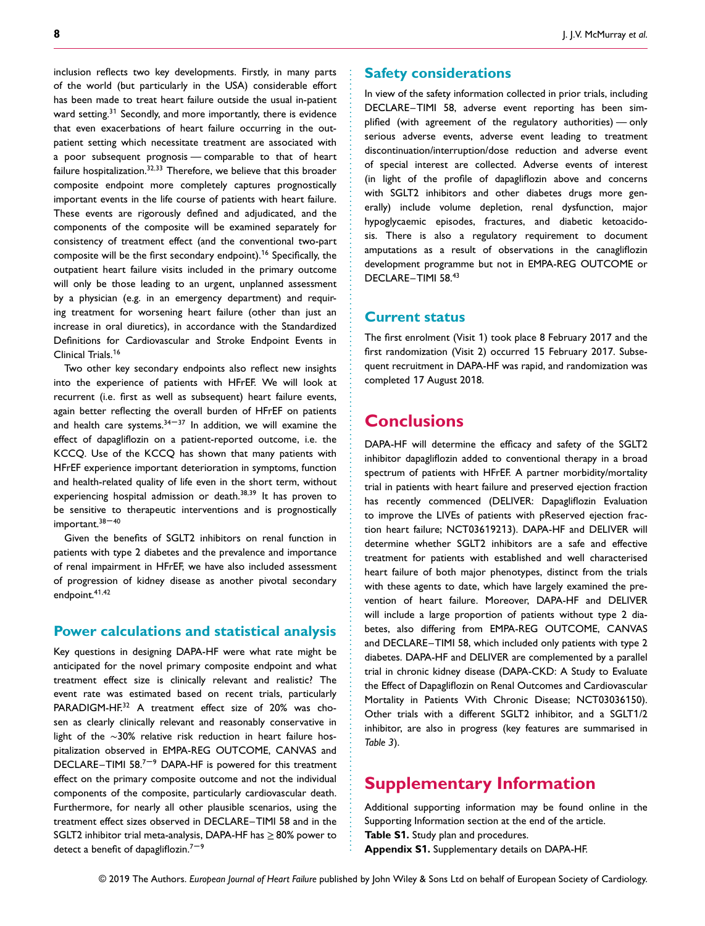inclusion reflects two key developments. Firstly, in many parts of the world (but particularly in the USA) considerable effort has been made to treat heart failure outside the usual in-patient ward setting.<sup>31</sup> Secondly, and more importantly, there is evidence that even exacerbations of heart failure occurring in the outpatient setting which necessitate treatment are associated with a poor subsequent prognosis — comparable to that of heart failure hospitalization.32*,*<sup>33</sup> Therefore, we believe that this broader composite endpoint more completely captures prognostically important events in the life course of patients with heart failure. These events are rigorously defined and adjudicated, and the components of the composite will be examined separately for consistency of treatment effect (and the conventional two-part composite will be the first secondary endpoint).<sup>1</sup><sup>6</sup> Specifically, the outpatient heart failure visits included in the primary outcome will only be those leading to an urgent, unplanned assessment by a physician (e.g. in an emergency department) and requiring treatment for worsening heart failure (other than just an increase in oral diuretics), in accordance with the Standardized Definitions for Cardiovascular and Stroke Endpoint Events in Clinical Trials.<sup>1</sup><sup>6</sup>

Two other key secondary endpoints also reflect new insights into the experience of patients with HFrEF. We will look at recurrent (i.e. first as well as subsequent) heart failure events, again better reflecting the overall burden of HFrEF on patients and health care systems. $34-37$  In addition, we will examine the effect of dapagliflozin on a patient-reported outcome, i.e. the KCCQ. Use of the KCCQ has shown that many patients with HFrEF experience important deterioration in symptoms, function and health-related quality of life even in the short term, without experiencing hospital admission or death.<sup>38</sup>*,*<sup>39</sup> It has proven to be sensitive to therapeutic interventions and is prognostically important.<sup>38-40</sup>

Given the benefits of SGLT2 inhibitors on renal function in patients with type 2 diabetes and the prevalence and importance of renal impairment in HFrEF, we have also included assessment of progression of kidney disease as another pivotal secondary endpoint.4<sup>1</sup>*,*<sup>42</sup>

## **Power calculations and statistical analysis**

Key questions in designing DAPA-HF were what rate might be anticipated for the novel primary composite endpoint and what treatment effect size is clinically relevant and realistic? The event rate was estimated based on recent trials, particularly PARADIGM-HF.<sup>32</sup> A treatment effect size of 20% was chosen as clearly clinically relevant and reasonably conservative in light of the ∼30% relative risk reduction in heart failure hospitalization observed in EMPA-REG OUTCOME, CANVAS and DECLARE–TIMI 58. $7-9$  DAPA-HF is powered for this treatment effect on the primary composite outcome and not the individual components of the composite, particularly cardiovascular death. Furthermore, for nearly all other plausible scenarios, using the treatment effect sizes observed in DECLARE–TIMI 58 and in the SGLT2 inhibitor trial meta-analysis, DAPA-HF has ≥80% power to detect a benefit of dapagliflozin.<sup>7-9</sup>

### **Safety considerations**

In view of the safety information collected in prior trials, including DECLARE–TIMI 58, adverse event reporting has been simplified (with agreement of the regulatory authorities) — only serious adverse events, adverse event leading to treatment discontinuation/interruption/dose reduction and adverse event of special interest are collected. Adverse events of interest (in light of the profile of dapagliflozin above and concerns with SGLT2 inhibitors and other diabetes drugs more generally) include volume depletion, renal dysfunction, major hypoglycaemic episodes, fractures, and diabetic ketoacidosis. There is also a regulatory requirement to document amputations as a result of observations in the canagliflozin development programme but not in EMPA-REG OUTCOME or DECLARE–TIMI 58.<sup>43</sup>

### **Current status**

The first enrolment (Visit 1) took place 8 February 2017 and the first randomization (Visit 2) occurred 15 February 2017. Subsequent recruitment in DAPA-HF was rapid, and randomization was completed 17 August 2018.

# **Conclusions**

............................................................... ................................................................ .........................................

DAPA-HF will determine the efficacy and safety of the SGLT2 inhibitor dapagliflozin added to conventional therapy in a broad spectrum of patients with HFrEF. A partner morbidity/mortality trial in patients with heart failure and preserved ejection fraction has recently commenced (DELIVER: Dapagliflozin Evaluation to improve the LIVEs of patients with pReserved ejection fraction heart failure; NCT03619213). DAPA-HF and DELIVER will determine whether SGLT2 inhibitors are a safe and effective treatment for patients with established and well characterised heart failure of both major phenotypes, distinct from the trials with these agents to date, which have largely examined the prevention of heart failure. Moreover, DAPA-HF and DELIVER will include a large proportion of patients without type 2 diabetes, also differing from EMPA-REG OUTCOME, CANVAS and DECLARE–TIMI 58, which included only patients with type 2 diabetes. DAPA-HF and DELIVER are complemented by a parallel trial in chronic kidney disease (DAPA-CKD: A Study to Evaluate the Effect of Dapagliflozin on Renal Outcomes and Cardiovascular Mortality in Patients With Chronic Disease; NCT03036150). Other trials with a different SGLT2 inhibitor, and a SGLT1/2 inhibitor, are also in progress (key features are summarised in *Table 3*).

# **Supplementary Information**

Additional supporting information may be found online in the Supporting Information section at the end of the article.

- **Table S1.** Study plan and procedures.
- **Appendix S1.** Supplementary details on DAPA-HF.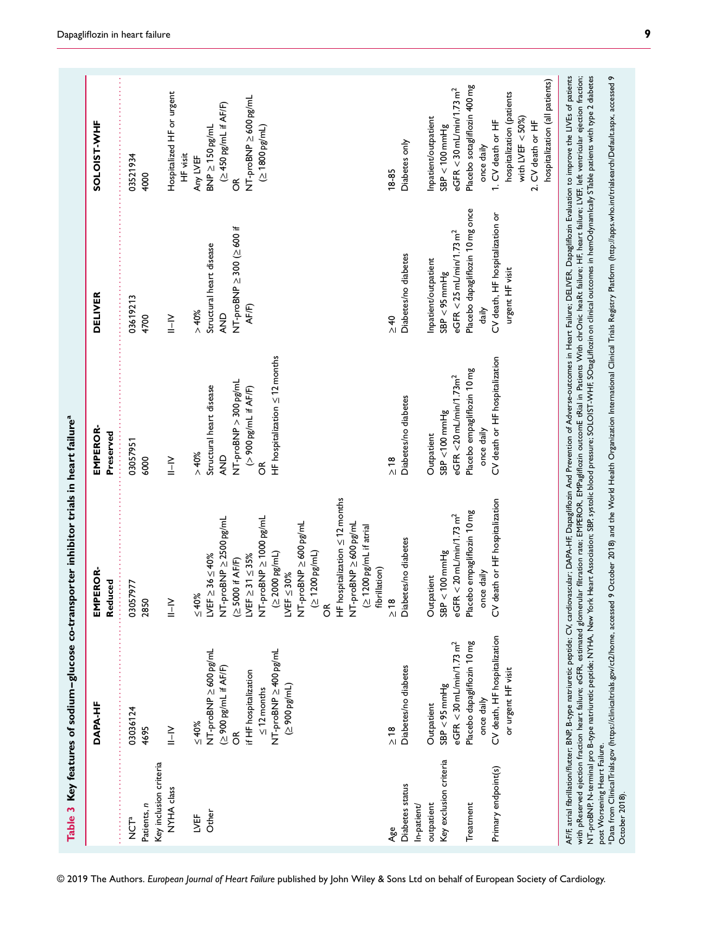|                                                                | DAPA-HF                                        | EMPEROR-<br>Reduced                                                                                        | EMPEROR-<br>Preserved                                         | <b>DELIVER</b>                                                                                                                                                                                                                                                                                                                                                                                                                                                                                                                                                                                                                                                                                   | SOLOIST-WHF                                                              |
|----------------------------------------------------------------|------------------------------------------------|------------------------------------------------------------------------------------------------------------|---------------------------------------------------------------|--------------------------------------------------------------------------------------------------------------------------------------------------------------------------------------------------------------------------------------------------------------------------------------------------------------------------------------------------------------------------------------------------------------------------------------------------------------------------------------------------------------------------------------------------------------------------------------------------------------------------------------------------------------------------------------------------|--------------------------------------------------------------------------|
| Key inclusion criteria<br>Patients, n<br>r<br>NCT <sup>a</sup> | 03036124<br>4695                               | 03057977<br>2850                                                                                           | 03057951<br>6000                                              | 03619213<br>4700                                                                                                                                                                                                                                                                                                                                                                                                                                                                                                                                                                                                                                                                                 | 03521934<br>4000                                                         |
| NYHA class                                                     | $\geq$                                         | $\frac{1}{1-\alpha}$                                                                                       | $\geq$<br>$\frac{1}{1}$                                       | $\geq$                                                                                                                                                                                                                                                                                                                                                                                                                                                                                                                                                                                                                                                                                           | Hospitalized HF or urgent                                                |
| ЦVË                                                            | $_{\leq 40\%}$                                 | ${}_{\leq 40\%}$                                                                                           | >40%                                                          | > 40%                                                                                                                                                                                                                                                                                                                                                                                                                                                                                                                                                                                                                                                                                            | HF visit<br>Any LVEF                                                     |
| Other                                                          | NT-proBNP ≥ 600 pg/mL<br>(≥900 pg/mL if AF/F)  | NT-proBNP ≥ 2500 pg/mL<br>LVEF $\geq$ 36 $\leq$ 40%                                                        | Structural heart disease<br><b>AND</b>                        | Structural heart disease<br>AND                                                                                                                                                                                                                                                                                                                                                                                                                                                                                                                                                                                                                                                                  | (≥450 pg/mL if AF/F)<br>$BNP \geq 150$ pg/mL                             |
|                                                                | if HF hospitalization<br>$\leq$ 12 months<br>ő | NT-proBNP ≥ 1000 pg/mL<br>LVEF $\geq 31 \leq 35\%$<br>(≥5000 if AF/F)                                      | NT-proBNP > 300 pg/mL<br>(> 900 pg/mL if AF/F)<br>$\tilde{6}$ | NT-proBNP ≥ 300 (≥ 600 if<br>AF/F)                                                                                                                                                                                                                                                                                                                                                                                                                                                                                                                                                                                                                                                               | NT-proBNP ≥ 600 pg/mL<br>$(21800 \text{ pg/mL})$<br>$\widetilde{\sigma}$ |
|                                                                | NT-proBNP ≥ 400 pg/mL<br>(≥ 900 pg/mL)         | $(2000 \text{ pg/mL})$<br>LVEF $\leq$ 30%                                                                  | HF hospitalization $\leq 12$ months                           |                                                                                                                                                                                                                                                                                                                                                                                                                                                                                                                                                                                                                                                                                                  |                                                                          |
|                                                                |                                                | NT-proBNP ≥ 600 pg/mL<br>$(\geq 1200 \text{ pg/mL})$<br>$\widetilde{\mathcal{O}}$                          |                                                               |                                                                                                                                                                                                                                                                                                                                                                                                                                                                                                                                                                                                                                                                                                  |                                                                          |
|                                                                |                                                | $HF$ hospitalization $\leq 12$ months<br>NT-proBNP ≥ 600 pg/mL<br>(≥ 1200 pg/mL if atrial<br>fibrillation) |                                                               |                                                                                                                                                                                                                                                                                                                                                                                                                                                                                                                                                                                                                                                                                                  |                                                                          |
| Age                                                            | $\frac{8}{10}$                                 | $\frac{8}{10}$                                                                                             | $\frac{8}{10}$                                                | $\geq 40$                                                                                                                                                                                                                                                                                                                                                                                                                                                                                                                                                                                                                                                                                        | 18-85                                                                    |
| Diabetes status<br>In-patient/                                 | Diabetes/no diabetes                           | Diabetes/no diabetes                                                                                       | Diabetes/no diabetes                                          | Diabetes/no diabetes                                                                                                                                                                                                                                                                                                                                                                                                                                                                                                                                                                                                                                                                             | Diabetes only                                                            |
| outpatient                                                     | Outpatient                                     | Outpatient                                                                                                 | Outpatient                                                    | Inpatient/outpatient                                                                                                                                                                                                                                                                                                                                                                                                                                                                                                                                                                                                                                                                             | Inpatient/outpatient                                                     |
| Key exclusion criteria                                         | eGFR < 30 mL/min/1.73 $m2$<br>$SB < 95$ mmHg   | eGFR < $20$ mL/min/1.73 m <sup>2</sup><br>$< 100$ mmHg<br>SBP                                              | eGFR<20 mL/min/1.73m <sup>2</sup><br>$SB < 100$ mm Hg         | eGFR < $25$ mL/min/1.73 m <sup>2</sup><br>$SB < 95$ mmHg                                                                                                                                                                                                                                                                                                                                                                                                                                                                                                                                                                                                                                         | eGFR < 30 mL/min/1.73 m <sup>2</sup><br>$SB < 100$ mm Hg                 |
| Treatment                                                      | Placebo dapagliflozin 10 mg                    | Placebo empagliflozin 10 mg                                                                                | Placebo empagliflozin 10 mg                                   | Placebo dapagliflozin 10 mg once                                                                                                                                                                                                                                                                                                                                                                                                                                                                                                                                                                                                                                                                 | Placebo sotagliflozin 400 mg                                             |
| Primary endpoint(s)                                            | CV death, HF hospitalization<br>once daily     | CV death or HF hospitalization<br>once daily                                                               | CV death or HF hospitalization<br>once daily                  | CV death, HF hospitalization or<br>daily                                                                                                                                                                                                                                                                                                                                                                                                                                                                                                                                                                                                                                                         | 1. CV death or HF<br>once daily                                          |
|                                                                | or urgent HF visit                             |                                                                                                            |                                                               | urgent HF visit                                                                                                                                                                                                                                                                                                                                                                                                                                                                                                                                                                                                                                                                                  | hospitalization (patients<br>with LVEF $<$ 50%)                          |
|                                                                |                                                |                                                                                                            |                                                               |                                                                                                                                                                                                                                                                                                                                                                                                                                                                                                                                                                                                                                                                                                  | 2. CV death or HF                                                        |
|                                                                |                                                |                                                                                                            |                                                               |                                                                                                                                                                                                                                                                                                                                                                                                                                                                                                                                                                                                                                                                                                  | hospitalization (all patients)                                           |
| post Worsening Heart Failure.                                  |                                                |                                                                                                            |                                                               | AF/F, atrial fibrillation/flutter; BNR B=type natriuretic peptide; CV, cardiovascular; DAPA-HF, Dapagliflozin And Prevention of Adverse-outcomes in Heart Failure; DELIVER, Dapagliflozin Evaluation to improve the LIVEs of p<br>with pReserved ejection fraction heart failure; eGFR, estimated glomerular filtration rate; EMPEROR, EMPagiflozin outcomE tRial in Patients With chrOnic heaRt failure; HF, heart failure; LVEF, left ventricular ejection fra<br>NT-proBNP, N-terminal pro B-type natriuretic peptide; NYHA, New York Heart Association; SBF systolic blood pressure; SOLOIST-WHF, SODagLiflozin on clinical outcomes in hemOdynamIcally STable patients with type 2 diabetes |                                                                          |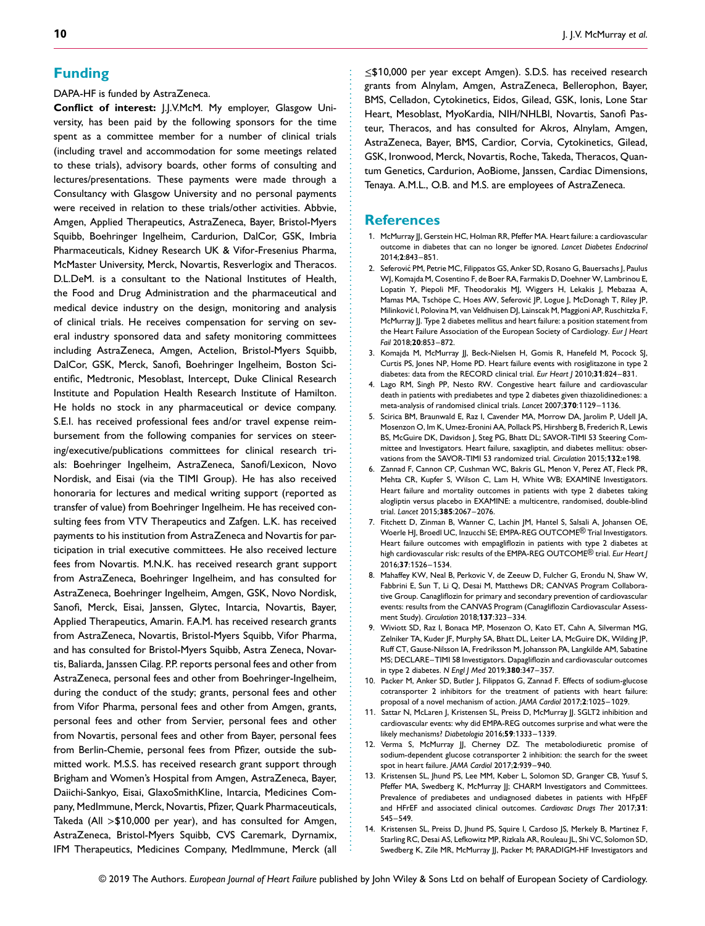DAPA-HF is funded by AstraZeneca.

**Conflict of interest:** J.J.V.McM. My employer, Glasgow University, has been paid by the following sponsors for the time spent as a committee member for a number of clinical trials (including travel and accommodation for some meetings related to these trials), advisory boards, other forms of consulting and lectures/presentations. These payments were made through a Consultancy with Glasgow University and no personal payments were received in relation to these trials/other activities. Abbvie, Amgen, Applied Therapeutics, AstraZeneca, Bayer, Bristol-Myers Squibb, Boehringer Ingelheim, Cardurion, DalCor, GSK, Imbria Pharmaceuticals, Kidney Research UK & Vifor-Fresenius Pharma, McMaster University, Merck, Novartis, Resverlogix and Theracos. D.L.DeM. is a consultant to the National Institutes of Health, the Food and Drug Administration and the pharmaceutical and medical device industry on the design, monitoring and analysis of clinical trials. He receives compensation for serving on several industry sponsored data and safety monitoring committees including AstraZeneca, Amgen, Actelion, Bristol-Myers Squibb, DalCor, GSK, Merck, Sanofi, Boehringer Ingelheim, Boston Scientific, Medtronic, Mesoblast, Intercept, Duke Clinical Research Institute and Population Health Research Institute of Hamilton. He holds no stock in any pharmaceutical or device company. S.E.I. has received professional fees and/or travel expense reimbursement from the following companies for services on steering/executive/publications committees for clinical research trials: Boehringer Ingelheim, AstraZeneca, Sanofi/Lexicon, Novo Nordisk, and Eisai (via the TIMI Group). He has also received honoraria for lectures and medical writing support (reported as transfer of value) from Boehringer Ingelheim. He has received consulting fees from VTV Therapeutics and Zafgen. L.K. has received payments to his institution from AstraZeneca and Novartis for participation in trial executive committees. He also received lecture fees from Novartis. M.N.K. has received research grant support from AstraZeneca, Boehringer Ingelheim, and has consulted for AstraZeneca, Boehringer Ingelheim, Amgen, GSK, Novo Nordisk, Sanofi, Merck, Eisai, Janssen, Glytec, Intarcia, Novartis, Bayer, Applied Therapeutics, Amarin. F.A.M. has received research grants from AstraZeneca, Novartis, Bristol-Myers Squibb, Vifor Pharma, and has consulted for Bristol-Myers Squibb, Astra Zeneca, Novartis, Baliarda, Janssen Cilag. P.P. reports personal fees and other from AstraZeneca, personal fees and other from Boehringer-Ingelheim, during the conduct of the study; grants, personal fees and other from Vifor Pharma, personal fees and other from Amgen, grants, personal fees and other from Servier, personal fees and other from Novartis, personal fees and other from Bayer, personal fees from Berlin-Chemie, personal fees from Pfizer, outside the submitted work. M.S.S. has received research grant support through Brigham and Women's Hospital from Amgen, AstraZeneca, Bayer, Daiichi-Sankyo, Eisai, GlaxoSmithKline, Intarcia, Medicines Company, MedImmune, Merck, Novartis, Pfizer, Quark Pharmaceuticals, Takeda (All *>*\$10,000 per year), and has consulted for Amgen, AstraZeneca, Bristol-Myers Squibb, CVS Caremark, Dyrnamix, IFM Therapeutics, Medicines Company, MedImmune, Merck (all

≤\$10,000 per year except Amgen). S.D.S. has received research grants from Alnylam, Amgen, AstraZeneca, Bellerophon, Bayer, BMS, Celladon, Cytokinetics, Eidos, Gilead, GSK, Ionis, Lone Star Heart, Mesoblast, MyoKardia, NIH/NHLBI, Novartis, Sanofi Pasteur, Theracos, and has consulted for Akros, Alnylam, Amgen, AstraZeneca, Bayer, BMS, Cardior, Corvia, Cytokinetics, Gilead, GSK, Ironwood, Merck, Novartis, Roche, Takeda, Theracos, Quantum Genetics, Cardurion, AoBiome, Janssen, Cardiac Dimensions, Tenaya. A.M.L., O.B. and M.S. are employees of AstraZeneca.

## **References**

............................................................... ................................................................ .........................................

- 1. McMurray JJ, Gerstein HC, Holman RR, Pfeffer MA. Heart failure: a cardiovascular outcome in diabetes that can no longer be ignored. *Lancet Diabetes Endocrinol* 2014;**2**:843–851.
- 2. Seferović PM, Petrie MC, Filippatos GS, Anker SD, Rosano G, Bauersachs J, Paulus WJ, Komajda M, Cosentino F, de Boer RA, Farmakis D, Doehner W, Lambrinou E, Lopatin Y, Piepoli MF, Theodorakis MJ, Wiggers H, Lekakis J, Mebazaa A, Mamas MA, Tschöpe C, Hoes AW, Seferović IP, Logue I, McDonagh T, Riley IP, Milinkovic I, Polovina M, van Veldhuisen DJ, Lainscak M, Maggioni AP, Ruschitzka F, ´ McMurray JJ. Type 2 diabetes mellitus and heart failure: a position statement from the Heart Failure Association of the European Society of Cardiology. *Eur J Heart Fail* 2018;**20**:853–872.
- 3. Komajda M, McMurray JJ, Beck-Nielsen H, Gomis R, Hanefeld M, Pocock SJ, Curtis PS, Jones NP, Home PD. Heart failure events with rosiglitazone in type 2 diabetes: data from the RECORD clinical trial. *Eur Heart J* 2010;**31**:824–831.
- 4. Lago RM, Singh PP, Nesto RW. Congestive heart failure and cardiovascular death in patients with prediabetes and type 2 diabetes given thiazolidinediones: a meta-analysis of randomised clinical trials. *Lancet* 2007;**370**:1129–1136.
- 5. Scirica BM, Braunwald E, Raz I, Cavender MA, Morrow DA, Jarolim P, Udell JA, Mosenzon O, Im K, Umez-Eronini AA, Pollack PS, Hirshberg B, Frederich R, Lewis BS, McGuire DK, Davidson J, Steg PG, Bhatt DL; SAVOR-TIMI 53 Steering Committee and Investigators. Heart failure, saxagliptin, and diabetes mellitus: observations from the SAVOR-TIMI 53 randomized trial. *Circulation* 2015;**132**:e198.
- 6. Zannad F, Cannon CP, Cushman WC, Bakris GL, Menon V, Perez AT, Fleck PR, Mehta CR, Kupfer S, Wilson C, Lam H, White WB; EXAMINE Investigators. Heart failure and mortality outcomes in patients with type 2 diabetes taking alogliptin versus placebo in EXAMINE: a multicentre, randomised, double-blind trial. *Lancet* 2015;**385**:2067–2076.
- 7. Fitchett D, Zinman B, Wanner C, Lachin JM, Hantel S, Salsali A, Johansen OE, Woerle HJ, Broedl UC, Inzucchi SE; EMPA-REG OUTCOME® Trial Investigators. Heart failure outcomes with empagliflozin in patients with type 2 diabetes at high cardiovascular risk: results of the EMPA-REG OUTCOME® trial. *Eur Heart J* 2016;**37**:1526–1534.
- 8. Mahaffey KW, Neal B, Perkovic V, de Zeeuw D, Fulcher G, Erondu N, Shaw W, Fabbrini E, Sun T, Li Q, Desai M, Matthews DR; CANVAS Program Collaborative Group. Canagliflozin for primary and secondary prevention of cardiovascular events: results from the CANVAS Program (Canagliflozin Cardiovascular Assessment Study). *Circulation* 2018;**137**:323–334.
- 9. Wiviott SD, Raz I, Bonaca MP, Mosenzon O, Kato ET, Cahn A, Silverman MG, Zelniker TA, Kuder JF, Murphy SA, Bhatt DL, Leiter LA, McGuire DK, Wilding JP, Ruff CT, Gause-Nilsson IA, Fredriksson M, Johansson PA, Langkilde AM, Sabatine MS; DECLARE–TIMI 58 Investigators. Dapagliflozin and cardiovascular outcomes in type 2 diabetes. *N Engl J Med* 2019;**380**:347–357.
- 10. Packer M, Anker SD, Butler J, Filippatos G, Zannad F. Effects of sodium-glucose cotransporter 2 inhibitors for the treatment of patients with heart failure: proposal of a novel mechanism of action. *JAMA Cardiol* 2017;**2**:1025–1029.
- 11. Sattar N, McLaren J, Kristensen SL, Preiss D, McMurray JJ. SGLT2 inhibition and cardiovascular events: why did EMPA-REG outcomes surprise and what were the likely mechanisms? *Diabetologia* 2016;**59**:1333–1339.
- 12. Verma S, McMurray JJ, Cherney DZ. The metabolodiuretic promise of sodium-dependent glucose cotransporter 2 inhibition: the search for the sweet spot in heart failure. *JAMA Cardiol* 2017;**2**:939–940.
- 13. Kristensen SL, Jhund PS, Lee MM, Køber L, Solomon SD, Granger CB, Yusuf S, Pfeffer MA, Swedberg K, McMurray JJ; CHARM Investigators and Committees. Prevalence of prediabetes and undiagnosed diabetes in patients with HFpEF and HFrEF and associated clinical outcomes. *Cardiovasc Drugs Ther* 2017;**31**: 545–549.
- 14. Kristensen SL, Preiss D, Jhund PS, Squire I, Cardoso JS, Merkely B, Martinez F, Starling RC, Desai AS, Lefkowitz MP, Rizkala AR, Rouleau JL, Shi VC, Solomon SD, Swedberg K, Zile MR, McMurray JJ, Packer M; PARADIGM-HF Investigators and